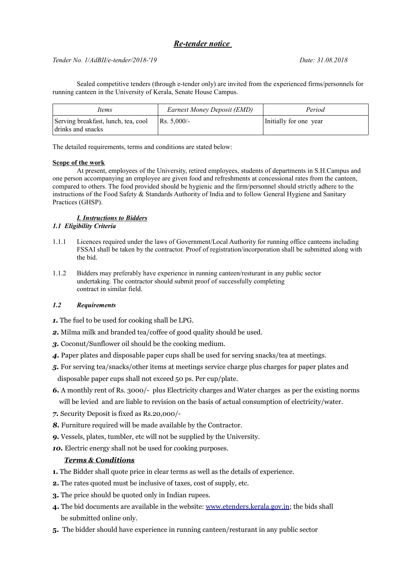### *Re-tender notice*

### *Tender No. 1/AdBII/e-tender/2018-'19 Date: 31.08.2018*

Sealed competitive tenders (through e-tender only) are invited from the experienced firms/personnels for running canteen in the University of Kerala, Senate House Campus.

| Items                                                    | Earnest Money Deposit (EMD) | Period                 |
|----------------------------------------------------------|-----------------------------|------------------------|
| Serving breakfast, lunch, tea, cool<br>drinks and snacks | $Rs. 5.000/-$               | Initially for one year |

The detailed requirements, terms and conditions are stated below:

#### **Scope of the work**

At present, employees of the University, retired employees, students of departments in S.H.Campus and one person accompanying an employee are given food and refreshments at concessional rates from the canteen, compared to others. The food provided should be hygienic and the firm/personnel should strictly adhere to the instructions of the Food Safety & Standards Authority of India and to follow General Hygiene and Sanitary Practices (GHSP).

#### *I. Instructions to Bidders 1.1 Eligibility Criteria*

- 1.1.1 Licences required under the laws of Government/Local Authority for running office canteens including FSSAI shall be taken by the contractor. Proof of registration/incorporation shall be submitted along with the bid.
- 1.1.2 Bidders may preferably have experience in running canteen/resturant in any public sector undertaking. The contractor should submit proof of successfully completing contract in similar field.

### *1.2 Requirements*

- *1.* The fuel to be used for cooking shall be LPG.
- *2.* Milma milk and branded tea/coffee of good quality should be used.
- *3.* Coconut/Sunflower oil should be the cooking medium.
- *4.* Paper plates and disposable paper cups shall be used for serving snacks/tea at meetings.
- *5.* For serving tea/snacks/other items at meetings service charge plus charges for paper plates and disposable paper cups shall not exceed 50 ps. Per cup/plate.
- *6.* A monthly rent of Rs. 3000/- plus Electricity charges and Water charges as per the existing norms will be levied and are liable to revision on the basis of actual consumption of electricity/water.
- *7.* Security Deposit is fixed as Rs.20,000/-
- **8.** Furniture required will be made available by the Contractor.
- *9.* Vessels, plates, tumbler, etc will not be supplied by the University.
- 10. Electric energy shall not be used for cooking purposes.

### *Terms & Conditions*

- **1.** The Bidder shall quote price in clear terms as well as the details of experience.
- **2.** The rates quoted must be inclusive of taxes, cost of supply, etc.
- **3.** The price should be quoted only in Indian rupees.
- **4.** The bid documents are available in the website: [www.etenders.kerala.gov.in;](http://www.etenders.kerala.gov.in/) the bids shall be submitted online only.
- **5.** The bidder should have experience in running canteen/resturant in any public sector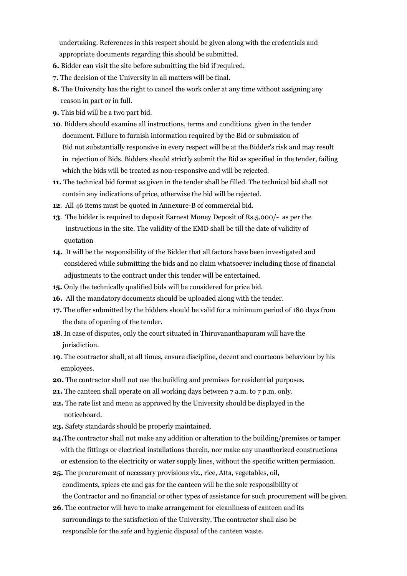undertaking. References in this respect should be given along with the credentials and appropriate documents regarding this should be submitted.

- **6.** Bidder can visit the site before submitting the bid if required.
- **7.** The decision of the University in all matters will be final.
- **8.** The University has the right to cancel the work order at any time without assigning any reason in part or in full.
- **9.** This bid will be a two part bid.
- **10**. Bidders should examine all instructions, terms and conditions given in the tender document. Failure to furnish information required by the Bid or submission of Bid not substantially responsive in every respect will be at the Bidder's risk and may result in rejection of Bids. Bidders should strictly submit the Bid as specified in the tender, failing which the bids will be treated as non-responsive and will be rejected.
- **11.** The technical bid format as given in the tender shall be filled. The technical bid shall not contain any indications of price, otherwise the bid will be rejected.
- **12**. All 46 items must be quoted in Annexure-B of commercial bid.
- **13**. The bidder is required to deposit Earnest Money Deposit of Rs.5,000/- as per the instructions in the site. The validity of the EMD shall be till the date of validity of quotation
- **14.** It will be the responsibility of the Bidder that all factors have been investigated and considered while submitting the bids and no claim whatsoever including those of financial adjustments to the contract under this tender will be entertained.
- **15.** Only the technically qualified bids will be considered for price bid.
- **16.** All the mandatory documents should be uploaded along with the tender.
- **17.** The offer submitted by the bidders should be valid for a minimum period of 180 days from the date of opening of the tender.
- **18**. In case of disputes, only the court situated in Thiruvananthapuram will have the jurisdiction.
- **19**. The contractor shall, at all times, ensure discipline, decent and courteous behaviour by his employees.
- **20.** The contractor shall not use the building and premises for residential purposes.
- **21.** The canteen shall operate on all working days between 7 a.m. to 7 p.m. only.
- **22.** The rate list and menu as approved by the University should be displayed in the noticeboard.
- **23.** Safety standards should be properly maintained.
- **24.**The contractor shall not make any addition or alteration to the building/premises or tamper with the fittings or electrical installations therein, nor make any unauthorized constructions or extension to the electricity or water supply lines, without the specific written permission.
- **25.** The procurement of necessary provisions viz., rice, Atta, vegetables, oil, condiments, spices etc and gas for the canteen will be the sole responsibility of the Contractor and no financial or other types of assistance for such procurement will be given.
- **26**. The contractor will have to make arrangement for cleanliness of canteen and its surroundings to the satisfaction of the University. The contractor shall also be responsible for the safe and hygienic disposal of the canteen waste.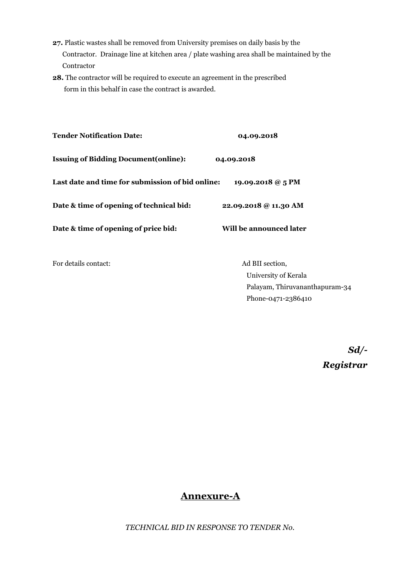- **27.** Plastic wastes shall be removed from University premises on daily basis by the Contractor. Drainage line at kitchen area / plate washing area shall be maintained by the Contractor
- **28.** The contractor will be required to execute an agreement in the prescribed form in this behalf in case the contract is awarded.

| <b>Tender Notification Date:</b>                 | 04.09.2018              |  |
|--------------------------------------------------|-------------------------|--|
| <b>Issuing of Bidding Document (online):</b>     | 04.09.2018              |  |
| Last date and time for submission of bid online: | 19.09.2018 @ 5 PM       |  |
| Date & time of opening of technical bid:         | 22.09.2018 @ 11.30 AM   |  |
| Date & time of opening of price bid:             | Will be announced later |  |
|                                                  |                         |  |

For details contact: Ad BII section,

University of Kerala Palayam, Thiruvananthapuram-34 Phone-0471-2386410

*Sd/-*

*Registrar*

### **Annexure-A**

*TECHNICAL BID IN RESPONSE TO TENDER No.*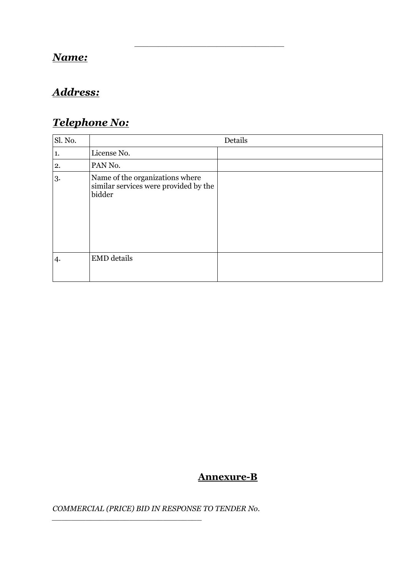## *Name:*

# *Address:*

# *Telephone No:*

| Sl. No. |                                                                                    | Details |
|---------|------------------------------------------------------------------------------------|---------|
| 1.      | License No.                                                                        |         |
| 2.      | PAN No.                                                                            |         |
| 3.      | Name of the organizations where<br>similar services were provided by the<br>bidder |         |
| 4.      | <b>EMD</b> details                                                                 |         |

*\_\_\_\_\_\_\_\_\_\_\_\_\_\_\_\_\_\_\_\_\_\_\_\_\_\_\_\_\_\_\_*

# **Annexure-B**

*COMMERCIAL (PRICE) BID IN RESPONSE TO TENDER No.* 

*\_\_\_\_\_\_\_\_\_\_\_\_\_\_\_\_\_\_\_\_\_\_\_\_\_\_\_\_\_\_\_*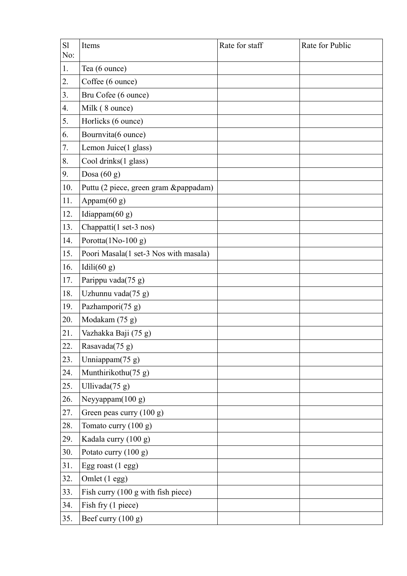| S1<br>No: | Items                                 | Rate for staff | Rate for Public |
|-----------|---------------------------------------|----------------|-----------------|
| 1.        | Tea (6 ounce)                         |                |                 |
| 2.        | Coffee (6 ounce)                      |                |                 |
| 3.        | Bru Cofee (6 ounce)                   |                |                 |
| 4.        | Milk (8 ounce)                        |                |                 |
| 5.        | Horlicks (6 ounce)                    |                |                 |
| 6.        | Bournvita(6 ounce)                    |                |                 |
| 7.        | Lemon Juice(1 glass)                  |                |                 |
| 8.        | Cool drinks(1 glass)                  |                |                 |
| 9.        | Dosa $(60 g)$                         |                |                 |
| 10.       | Puttu (2 piece, green gram &pappadam) |                |                 |
| 11.       | Appam(60 g)                           |                |                 |
| 12.       | Idiappam(60 g)                        |                |                 |
| 13.       | Chappatti(1 set-3 nos)                |                |                 |
| 14.       | Porotta(1No-100 g)                    |                |                 |
| 15.       | Poori Masala(1 set-3 Nos with masala) |                |                 |
| 16.       | Idili $(60 g)$                        |                |                 |
| 17.       | Parippu vada(75 g)                    |                |                 |
| 18.       | Uzhunnu vada(75 g)                    |                |                 |
| 19.       | Pazhampori(75 g)                      |                |                 |
| 20.       | Modakam (75 g)                        |                |                 |
| 21.       | Vazhakka Baji (75 g)                  |                |                 |
| 22.       | Rasavada(75 g)                        |                |                 |
| 23.       | Unniappam(75 g)                       |                |                 |
| 24.       | Munthirikothu(75 g)                   |                |                 |
| 25.       | Ullivada(75 g)                        |                |                 |
| 26.       | Neyyappam(100 g)                      |                |                 |
| 27.       | Green peas curry (100 g)              |                |                 |
| 28.       | Tomato curry (100 g)                  |                |                 |
| 29.       | Kadala curry (100 g)                  |                |                 |
| 30.       | Potato curry (100 g)                  |                |                 |
| 31.       | Egg roast (1 egg)                     |                |                 |
| 32.       | Omlet (1 egg)                         |                |                 |
| 33.       | Fish curry (100 g with fish piece)    |                |                 |
| 34.       | Fish fry (1 piece)                    |                |                 |
| 35.       | Beef curry (100 g)                    |                |                 |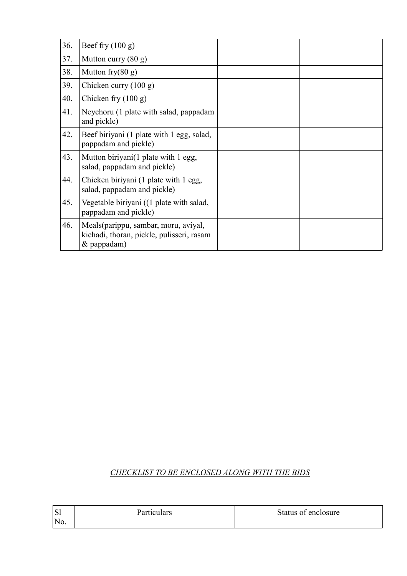| 36. | Beef fry $(100 g)$                                                                               |  |
|-----|--------------------------------------------------------------------------------------------------|--|
| 37. | Mutton curry $(80 \text{ g})$                                                                    |  |
| 38. | Mutton fry $(80 g)$                                                                              |  |
| 39. | Chicken curry $(100 g)$                                                                          |  |
| 40. | Chicken fry $(100 g)$                                                                            |  |
| 41. | Neychoru (1 plate with salad, pappadam<br>and pickle)                                            |  |
| 42. | Beef biriyani (1 plate with 1 egg, salad,<br>pappadam and pickle)                                |  |
| 43. | Mutton biriyani(1 plate with 1 egg,<br>salad, pappadam and pickle)                               |  |
| 44. | Chicken biriyani (1 plate with 1 egg,<br>salad, pappadam and pickle)                             |  |
| 45. | Vegetable biriyani ((1 plate with salad,<br>pappadam and pickle)                                 |  |
| 46. | Meals(parippu, sambar, moru, aviyal,<br>kichadi, thoran, pickle, pulisseri, rasam<br>& pappadam) |  |

### *CHECKLIST TO BE ENCLOSED ALONG WITH THE BIDS*

| 'Sl | <b>Particulars</b> | Status of enclosure |
|-----|--------------------|---------------------|
| No. |                    |                     |